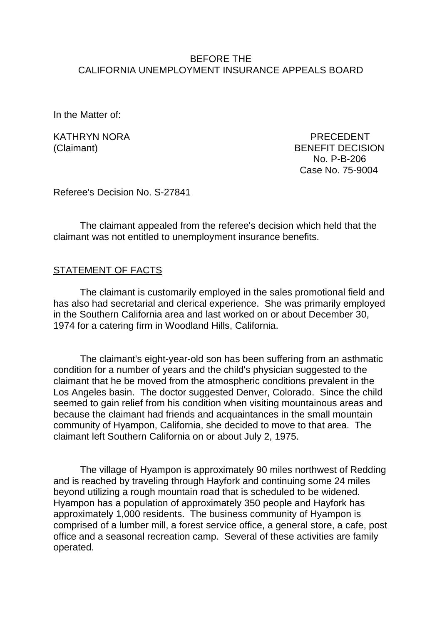## BEFORE THE CALIFORNIA UNEMPLOYMENT INSURANCE APPEALS BOARD

In the Matter of:

KATHRYN NORA PRECEDENT (Claimant) BENEFIT DECISION No. P-B-206 Case No. 75-9004

Referee's Decision No. S-27841

The claimant appealed from the referee's decision which held that the claimant was not entitled to unemployment insurance benefits.

## STATEMENT OF FACTS

The claimant is customarily employed in the sales promotional field and has also had secretarial and clerical experience. She was primarily employed in the Southern California area and last worked on or about December 30, 1974 for a catering firm in Woodland Hills, California.

The claimant's eight-year-old son has been suffering from an asthmatic condition for a number of years and the child's physician suggested to the claimant that he be moved from the atmospheric conditions prevalent in the Los Angeles basin. The doctor suggested Denver, Colorado. Since the child seemed to gain relief from his condition when visiting mountainous areas and because the claimant had friends and acquaintances in the small mountain community of Hyampon, California, she decided to move to that area. The claimant left Southern California on or about July 2, 1975.

The village of Hyampon is approximately 90 miles northwest of Redding and is reached by traveling through Hayfork and continuing some 24 miles beyond utilizing a rough mountain road that is scheduled to be widened. Hyampon has a population of approximately 350 people and Hayfork has approximately 1,000 residents. The business community of Hyampon is comprised of a lumber mill, a forest service office, a general store, a cafe, post office and a seasonal recreation camp. Several of these activities are family operated.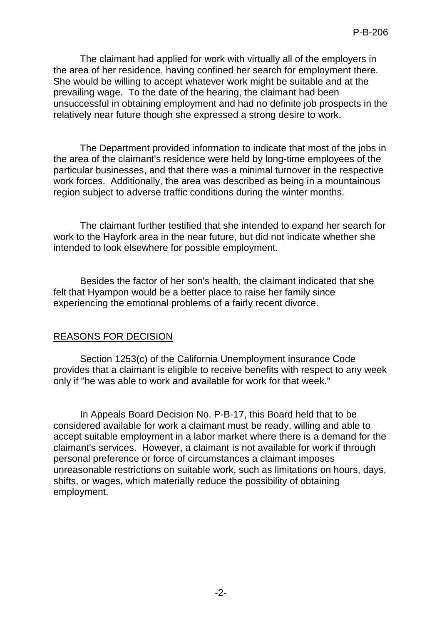The claimant had applied for work with virtually all of the employers in the area of her residence, having confined her search for employment there. She would be willing to accept whatever work might be suitable and at the prevailing wage. To the date of the hearing, the claimant had been unsuccessful in obtaining employment and had no definite job prospects in the relatively near future though she expressed a strong desire to work.

The Department provided information to indicate that most of the jobs in the area of the claimant's residence were held by long-time employees of the particular businesses, and that there was a minimal turnover in the respective work forces. Additionally, the area was described as being in a mountainous region subject to adverse traffic conditions during the winter months.

The claimant further testified that she intended to expand her search for work to the Hayfork area in the near future, but did not indicate whether she intended to look elsewhere for possible employment.

Besides the factor of her son's health, the claimant indicated that she felt that Hyampon would be a better place to raise her family since experiencing the emotional problems of a fairly recent divorce.

## REASONS FOR DECISION

Section 1253(c) of the California Unemployment insurance Code provides that a claimant is eligible to receive benefits with respect to any week only if "he was able to work and available for work for that week."

In Appeals Board Decision No. P-B-17, this Board held that to be considered available for work a claimant must be ready, willing and able to accept suitable employment in a labor market where there is a demand for the claimant's services. However, a claimant is not available for work if through personal preference or force of circumstances a claimant imposes unreasonable restrictions on suitable work, such as limitations on hours, days, shifts, or wages, which materially reduce the possibility of obtaining employment.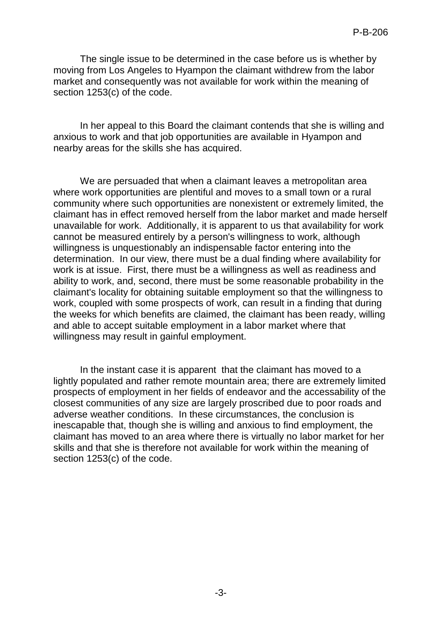The single issue to be determined in the case before us is whether by moving from Los Angeles to Hyampon the claimant withdrew from the labor market and consequently was not available for work within the meaning of section 1253(c) of the code.

In her appeal to this Board the claimant contends that she is willing and anxious to work and that job opportunities are available in Hyampon and nearby areas for the skills she has acquired.

We are persuaded that when a claimant leaves a metropolitan area where work opportunities are plentiful and moves to a small town or a rural community where such opportunities are nonexistent or extremely limited, the claimant has in effect removed herself from the labor market and made herself unavailable for work. Additionally, it is apparent to us that availability for work cannot be measured entirely by a person's willingness to work, although willingness is unquestionably an indispensable factor entering into the determination. In our view, there must be a dual finding where availability for work is at issue. First, there must be a willingness as well as readiness and ability to work, and, second, there must be some reasonable probability in the claimant's locality for obtaining suitable employment so that the willingness to work, coupled with some prospects of work, can result in a finding that during the weeks for which benefits are claimed, the claimant has been ready, willing and able to accept suitable employment in a labor market where that willingness may result in gainful employment.

In the instant case it is apparent that the claimant has moved to a lightly populated and rather remote mountain area; there are extremely limited prospects of employment in her fields of endeavor and the accessability of the closest communities of any size are largely proscribed due to poor roads and adverse weather conditions. In these circumstances, the conclusion is inescapable that, though she is willing and anxious to find employment, the claimant has moved to an area where there is virtually no labor market for her skills and that she is therefore not available for work within the meaning of section 1253(c) of the code.